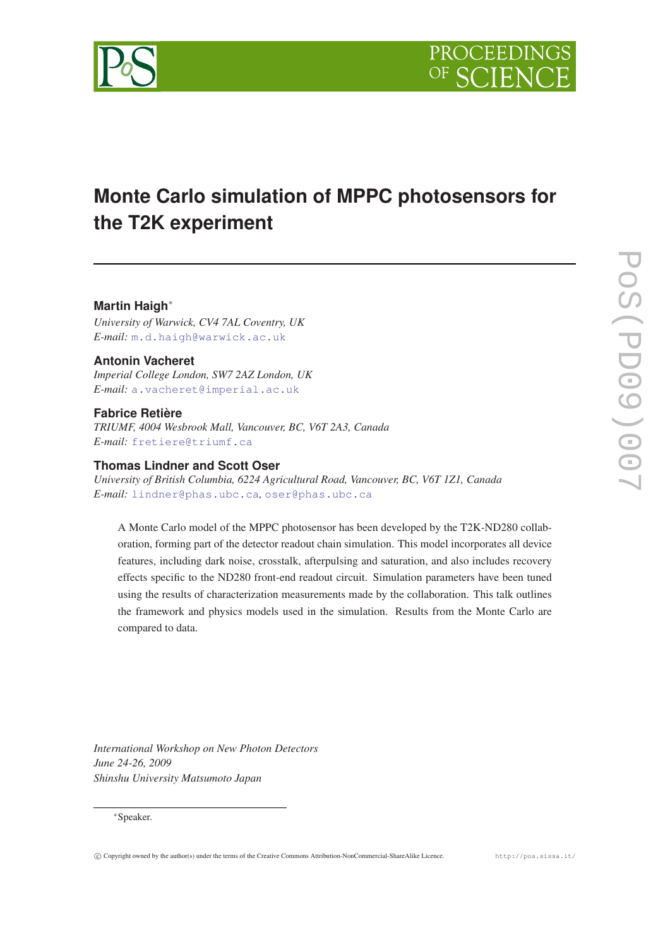



# **Monte Carlo simulation of MPPC photosensors for the T2K experiment**

**Martin Haigh**<sup>∗</sup>

*University of Warwick, CV4 7AL Coventry, UK E-mail:* [m.d.haigh@warwick.ac.uk](mailto:m.d.haigh@warwick.ac.uk)

**Antonin Vacheret** *Imperial College London, SW7 2AZ London, UK E-mail:* [a.vacheret@imperial.ac.uk](mailto:a.vacheret@imperial.ac.uk)

# **Fabrice Retière**

*TRIUMF, 4004 Wesbrook Mall, Vancouver, BC, V6T 2A3, Canada E-mail:* [fretiere@triumf.ca](mailto:fretiere@triumf.ca)

# **Thomas Lindner and Scott Oser**

*University of British Columbia, 6224 Agricultural Road, Vancouver, BC, V6T 1Z1, Canada E-mail:* [lindner@phas.ubc.ca](mailto:lindner@phas.ubc.ca)*,* [oser@phas.ubc.ca](mailto:oser@phas.ubc.ca)

A Monte Carlo model of the MPPC photosensor has been developed by the T2K-ND280 collaboration, forming part of the detector readout chain simulation. This model incorporates all device features, including dark noise, crosstalk, afterpulsing and saturation, and also includes recovery effects specific to the ND280 front-end readout circuit. Simulation parameters have been tuned using the results of characterization measurements made by the collaboration. This talk outlines the framework and physics models used in the simulation. Results from the Monte Carlo are compared to data.

*International Workshop on New Photon Detectors June 24-26, 2009 Shinshu University Matsumoto Japan*

## <sup>∗</sup>Speaker.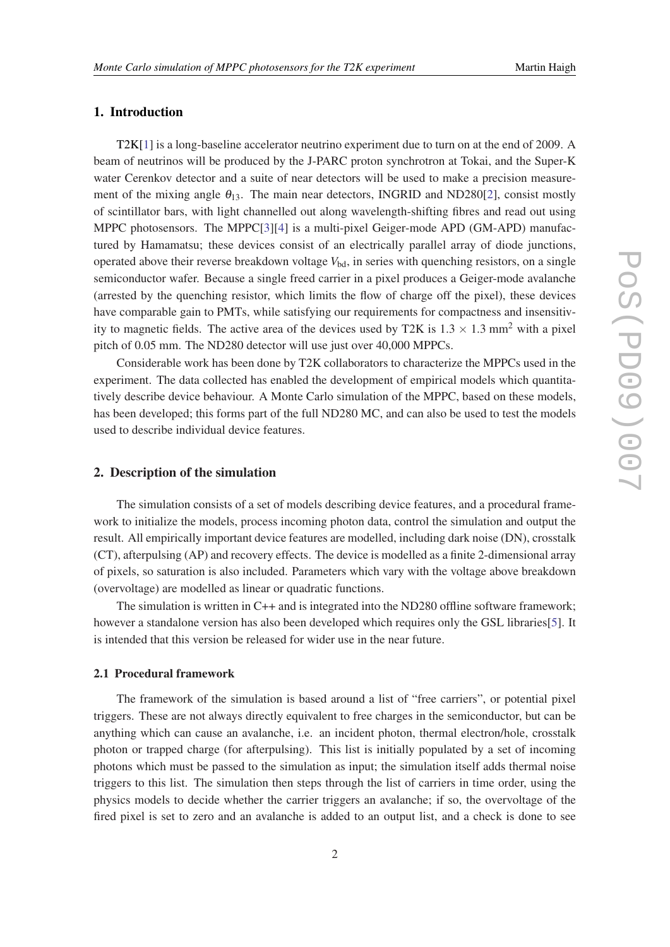# 1. Introduction

T2K[\[1\]](#page-8-0) is a long-baseline accelerator neutrino experiment due to turn on at the end of 2009. A beam of neutrinos will be produced by the J-PARC proton synchrotron at Tokai, and the Super-K water Cerenkov detector and a suite of near detectors will be used to make a precision measurement of the mixing angle  $\theta_{13}$ . The main near detectors, INGRID and ND[2](#page-8-0)80[2], consist mostly of scintillator bars, with light channelled out along wavelength-shifting fibres and read out using MPPC photosensors. The MPPC[[3](#page-8-0)][\[4\]](#page-8-0) is a multi-pixel Geiger-mode APD (GM-APD) manufactured by Hamamatsu; these devices consist of an electrically parallel array of diode junctions, operated above their reverse breakdown voltage  $V_{\text{bd}}$ , in series with quenching resistors, on a single semiconductor wafer. Because a single freed carrier in a pixel produces a Geiger-mode avalanche (arrested by the quenching resistor, which limits the flow of charge off the pixel), these devices have comparable gain to PMTs, while satisfying our requirements for compactness and insensitivity to magnetic fields. The active area of the devices used by T2K is  $1.3 \times 1.3$  mm<sup>2</sup> with a pixel pitch of 0.05 mm. The ND280 detector will use just over 40,000 MPPCs.

Considerable work has been done by T2K collaborators to characterize the MPPCs used in the experiment. The data collected has enabled the development of empirical models which quantitatively describe device behaviour. A Monte Carlo simulation of the MPPC, based on these models, has been developed; this forms part of the full ND280 MC, and can also be used to test the models used to describe individual device features.

# 2. Description of the simulation

The simulation consists of a set of models describing device features, and a procedural framework to initialize the models, process incoming photon data, control the simulation and output the result. All empirically important device features are modelled, including dark noise (DN), crosstalk (CT), afterpulsing (AP) and recovery effects. The device is modelled as a finite 2-dimensional array of pixels, so saturation is also included. Parameters which vary with the voltage above breakdown (overvoltage) are modelled as linear or quadratic functions.

The simulation is written in C++ and is integrated into the ND280 offline software framework; however a standalone version has also been developed which requires only the GSL libraries [\[5\]](#page-8-0). It is intended that this version be released for wider use in the near future.

# 2.1 Procedural framework

The framework of the simulation is based around a list of "free carriers", or potential pixel triggers. These are not always directly equivalent to free charges in the semiconductor, but can be anything which can cause an avalanche, i.e. an incident photon, thermal electron/hole, crosstalk photon or trapped charge (for afterpulsing). This list is initially populated by a set of incoming photons which must be passed to the simulation as input; the simulation itself adds thermal noise triggers to this list. The simulation then steps through the list of carriers in time order, using the physics models to decide whether the carrier triggers an avalanche; if so, the overvoltage of the fired pixel is set to zero and an avalanche is added to an output list, and a check is done to see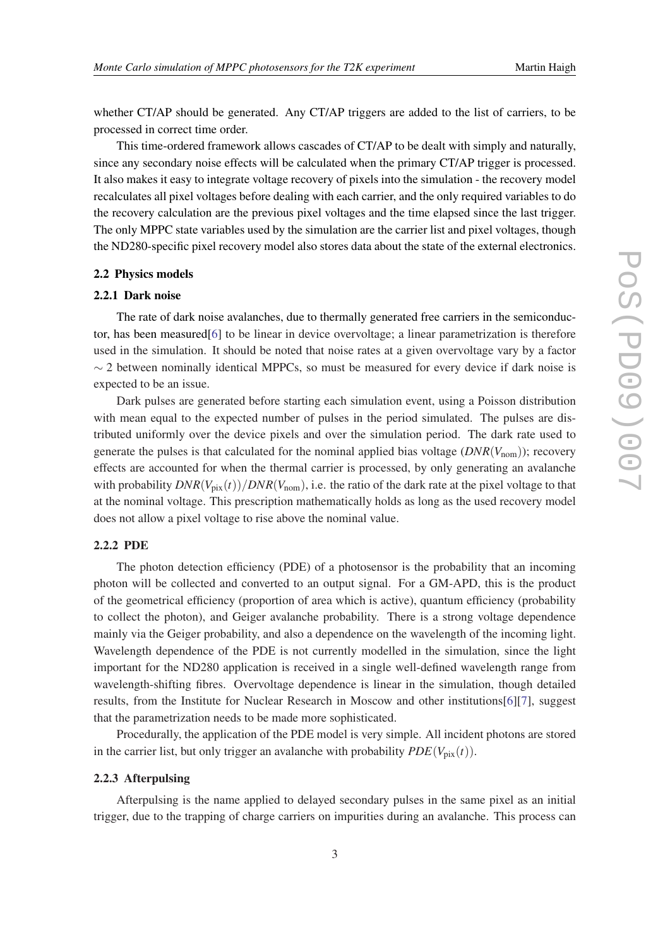whether CT/AP should be generated. Any CT/AP triggers are added to the list of carriers, to be processed in correct time order.

This time-ordered framework allows cascades of CT/AP to be dealt with simply and naturally, since any secondary noise effects will be calculated when the primary CT/AP trigger is processed. It also makes it easy to integrate voltage recovery of pixels into the simulation - the recovery model recalculates all pixel voltages before dealing with each carrier, and the only required variables to do the recovery calculation are the previous pixel voltages and the time elapsed since the last trigger. The only MPPC state variables used by the simulation are the carrier list and pixel voltages, though the ND280-specific pixel recovery model also stores data about the state of the external electronics.

#### 2.2 Physics models

#### 2.2.1 Dark noise

The rate of dark noise avalanches, due to thermally generated free carriers in the semiconductor, has been measured[\[6\]](#page-8-0) to be linear in device overvoltage; a linear parametrization is therefore used in the simulation. It should be noted that noise rates at a given overvoltage vary by a factor  $\sim$  2 between nominally identical MPPCs, so must be measured for every device if dark noise is expected to be an issue.

Dark pulses are generated before starting each simulation event, using a Poisson distribution with mean equal to the expected number of pulses in the period simulated. The pulses are distributed uniformly over the device pixels and over the simulation period. The dark rate used to generate the pulses is that calculated for the nominal applied bias voltage (*DNR*(*V*nom)); recovery effects are accounted for when the thermal carrier is processed, by only generating an avalanche with probability  $DNR(V_{pix}(t))/DNR(V_{nom})$ , i.e. the ratio of the dark rate at the pixel voltage to that at the nominal voltage. This prescription mathematically holds as long as the used recovery model does not allow a pixel voltage to rise above the nominal value.

## 2.2.2 PDE

The photon detection efficiency (PDE) of a photosensor is the probability that an incoming photon will be collected and converted to an output signal. For a GM-APD, this is the product of the geometrical efficiency (proportion of area which is active), quantum efficiency (probability to collect the photon), and Geiger avalanche probability. There is a strong voltage dependence mainly via the Geiger probability, and also a dependence on the wavelength of the incoming light. Wavelength dependence of the PDE is not currently modelled in the simulation, since the light important for the ND280 application is received in a single well-defined wavelength range from wavelength-shifting fibres. Overvoltage dependence is linear in the simulation, though detailed results, from the Institute for Nuclear Research in Moscow and other institutions[[6](#page-8-0)][\[7\]](#page-8-0), suggest that the parametrization needs to be made more sophisticated.

Procedurally, the application of the PDE model is very simple. All incident photons are stored in the carrier list, but only trigger an avalanche with probability  $PDE(V_{pix}(t))$ .

#### 2.2.3 Afterpulsing

Afterpulsing is the name applied to delayed secondary pulses in the same pixel as an initial trigger, due to the trapping of charge carriers on impurities during an avalanche. This process can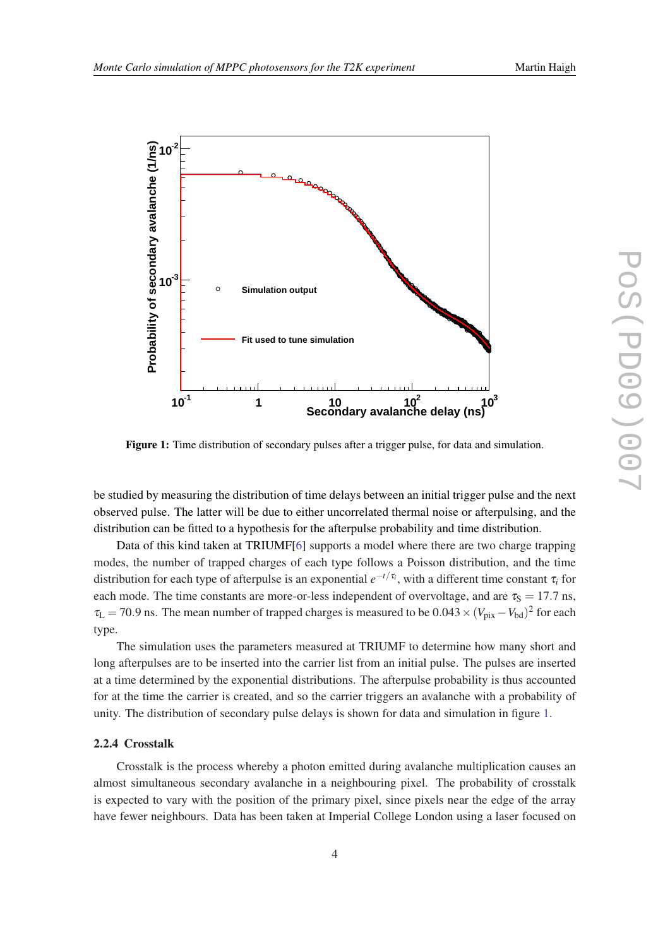

Figure 1: Time distribution of secondary pulses after a trigger pulse, for data and simulation.

be studied by measuring the distribution of time delays between an initial trigger pulse and the next observed pulse. The latter will be due to either uncorrelated thermal noise or afterpulsing, and the distribution can be fitted to a hypothesis for the afterpulse probability and time distribution.

Data of this kind taken at TRIUMF[\[6\]](#page-8-0) supports a model where there are two charge trapping modes, the number of trapped charges of each type follows a Poisson distribution, and the time distribution for each type of afterpulse is an exponential  $e^{-t/\tau_i}$ , with a different time constant  $\tau_i$  for each mode. The time constants are more-or-less independent of overvoltage, and are  $\tau_s = 17.7$  ns,  $\tau_L$  = 70.9 ns. The mean number of trapped charges is measured to be  $0.043 \times (V_{pix} - V_{bd})^2$  for each type.

The simulation uses the parameters measured at TRIUMF to determine how many short and long afterpulses are to be inserted into the carrier list from an initial pulse. The pulses are inserted at a time determined by the exponential distributions. The afterpulse probability is thus accounted for at the time the carrier is created, and so the carrier triggers an avalanche with a probability of unity. The distribution of secondary pulse delays is shown for data and simulation in figure 1.

## 2.2.4 Crosstalk

Crosstalk is the process whereby a photon emitted during avalanche multiplication causes an almost simultaneous secondary avalanche in a neighbouring pixel. The probability of crosstalk is expected to vary with the position of the primary pixel, since pixels near the edge of the array have fewer neighbours. Data has been taken at Imperial College London using a laser focused on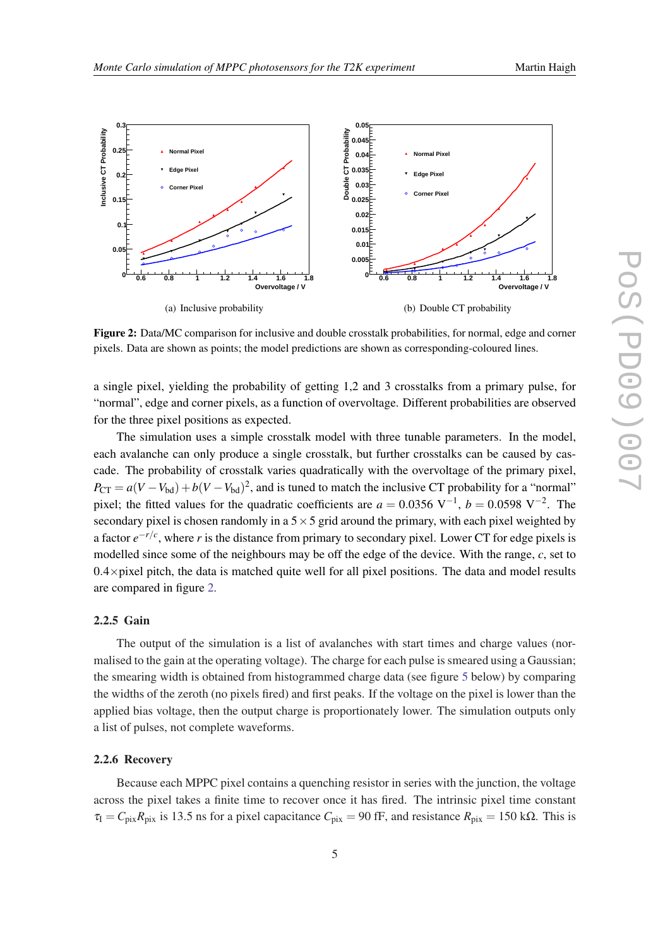

Figure 2: Data/MC comparison for inclusive and double crosstalk probabilities, for normal, edge and corner pixels. Data are shown as points; the model predictions are shown as corresponding-coloured lines.

a single pixel, yielding the probability of getting 1,2 and 3 crosstalks from a primary pulse, for "normal", edge and corner pixels, as a function of overvoltage. Different probabilities are observed for the three pixel positions as expected.

The simulation uses a simple crosstalk model with three tunable parameters. In the model, each avalanche can only produce a single crosstalk, but further crosstalks can be caused by cascade. The probability of crosstalk varies quadratically with the overvoltage of the primary pixel,  $P_{CT} = a(V - V_{bd}) + b(V - V_{bd})^2$ , and is tuned to match the inclusive CT probability for a "normal" pixel; the fitted values for the quadratic coefficients are  $a = 0.0356 \text{ V}^{-1}$ ,  $b = 0.0598 \text{ V}^{-2}$ . The secondary pixel is chosen randomly in a  $5 \times 5$  grid around the primary, with each pixel weighted by a factor  $e^{-r/c}$ , where *r* is the distance from primary to secondary pixel. Lower CT for edge pixels is modelled since some of the neighbours may be off the edge of the device. With the range, *c*, set to  $0.4 \times$ pixel pitch, the data is matched quite well for all pixel positions. The data and model results are compared in figure 2.

# 2.2.5 Gain

The output of the simulation is a list of avalanches with start times and charge values (normalised to the gain at the operating voltage). The charge for each pulse is smeared using a Gaussian; the smearing width is obtained from histogrammed charge data (see figure [5](#page-7-0) below) by comparing the widths of the zeroth (no pixels fired) and first peaks. If the voltage on the pixel is lower than the applied bias voltage, then the output charge is proportionately lower. The simulation outputs only a list of pulses, not complete waveforms.

#### 2.2.6 Recovery

Because each MPPC pixel contains a quenching resistor in series with the junction, the voltage across the pixel takes a finite time to recover once it has fired. The intrinsic pixel time constant  $\tau_I = C_{pix}R_{pix}$  is 13.5 ns for a pixel capacitance  $C_{pix} = 90$  fF, and resistance  $R_{pix} = 150$  kΩ. This is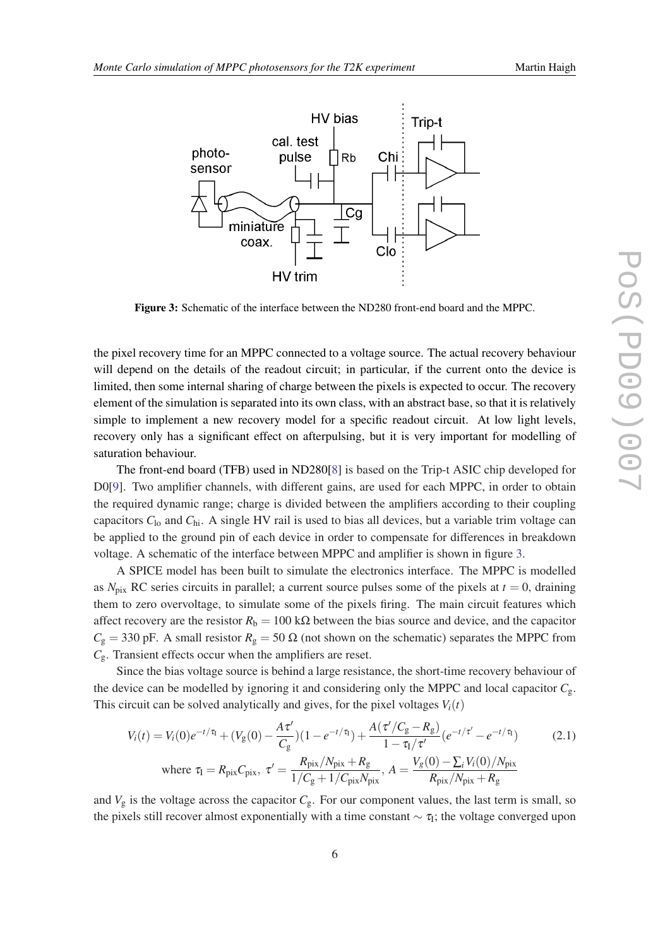

Figure 3: Schematic of the interface between the ND280 front-end board and the MPPC.

the pixel recovery time for an MPPC connected to a voltage source. The actual recovery behaviour will depend on the details of the readout circuit; in particular, if the current onto the device is limited, then some internal sharing of charge between the pixels is expected to occur. The recovery element of the simulation is separated into its own class, with an abstract base, so that it is relatively simple to implement a new recovery model for a specific readout circuit. At low light levels, recovery only has a significant effect on afterpulsing, but it is very important for modelling of saturation behaviour.

The front-end board (TFB) used in ND280[[8](#page-8-0)] is based on the Trip-t ASIC chip developed for D0[\[9\]](#page-8-0). Two amplifier channels, with different gains, are used for each MPPC, in order to obtain the required dynamic range; charge is divided between the amplifiers according to their coupling capacitors *C*lo and *C*hi. A single HV rail is used to bias all devices, but a variable trim voltage can be applied to the ground pin of each device in order to compensate for differences in breakdown voltage. A schematic of the interface between MPPC and amplifier is shown in figure 3.

A SPICE model has been built to simulate the electronics interface. The MPPC is modelled as  $N_{\text{pix}}$  RC series circuits in parallel; a current source pulses some of the pixels at  $t = 0$ , draining them to zero overvoltage, to simulate some of the pixels firing. The main circuit features which affect recovery are the resistor  $R<sub>b</sub> = 100$  kΩ between the bias source and device, and the capacitor  $C_g = 330$  pF. A small resistor  $R_g = 50 \Omega$  (not shown on the schematic) separates the MPPC from *C*g. Transient effects occur when the amplifiers are reset.

Since the bias voltage source is behind a large resistance, the short-time recovery behaviour of the device can be modelled by ignoring it and considering only the MPPC and local capacitor *C*g. This circuit can be solved analytically and gives, for the pixel voltages  $V_i(t)$ 

$$
V_i(t) = V_i(0)e^{-t/\tau_i} + (V_g(0) - \frac{A\tau'}{C_g})(1 - e^{-t/\tau_i}) + \frac{A(\tau'/C_g - R_g)}{1 - \tau_i/\tau'}(e^{-t/\tau'} - e^{-t/\tau_i})
$$
(2.1)  
where  $\tau_i = R_{\text{pix}}C_{\text{pix}}$ ,  $\tau' = \frac{R_{\text{pix}}/N_{\text{pix}} + R_g}{1/C_g + 1/C_{\text{pix}}N_{\text{pix}}}$ ,  $A = \frac{V_g(0) - \sum_i V_i(0)/N_{\text{pix}}}{R_{\text{pix}}/N_{\text{pix}} + R_g}$ 

and  $V_g$  is the voltage across the capacitor  $C_g$ . For our component values, the last term is small, so the pixels still recover almost exponentially with a time constant  $\sim \tau_{\rm I}$ ; the voltage converged upon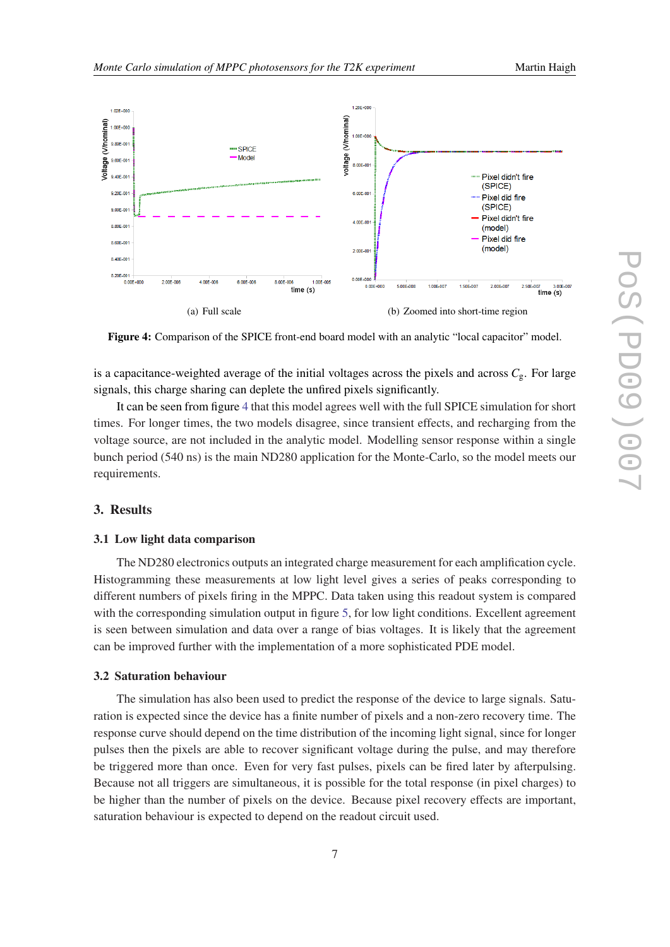

Figure 4: Comparison of the SPICE front-end board model with an analytic "local capacitor" model.

is a capacitance-weighted average of the initial voltages across the pixels and across  $C_{\alpha}$ . For large signals, this charge sharing can deplete the unfired pixels significantly.

It can be seen from figure 4 that this model agrees well with the full SPICE simulation for short times. For longer times, the two models disagree, since transient effects, and recharging from the voltage source, are not included in the analytic model. Modelling sensor response within a single bunch period (540 ns) is the main ND280 application for the Monte-Carlo, so the model meets our requirements.

# 3. Results

## 3.1 Low light data comparison

The ND280 electronics outputs an integrated charge measurement for each amplification cycle. Histogramming these measurements at low light level gives a series of peaks corresponding to different numbers of pixels firing in the MPPC. Data taken using this readout system is compared with the corresponding simulation output in figure [5,](#page-7-0) for low light conditions. Excellent agreement is seen between simulation and data over a range of bias voltages. It is likely that the agreement can be improved further with the implementation of a more sophisticated PDE model.

## 3.2 Saturation behaviour

The simulation has also been used to predict the response of the device to large signals. Saturation is expected since the device has a finite number of pixels and a non-zero recovery time. The response curve should depend on the time distribution of the incoming light signal, since for longer pulses then the pixels are able to recover significant voltage during the pulse, and may therefore be triggered more than once. Even for very fast pulses, pixels can be fired later by afterpulsing. Because not all triggers are simultaneous, it is possible for the total response (in pixel charges) to be higher than the number of pixels on the device. Because pixel recovery effects are important, saturation behaviour is expected to depend on the readout circuit used.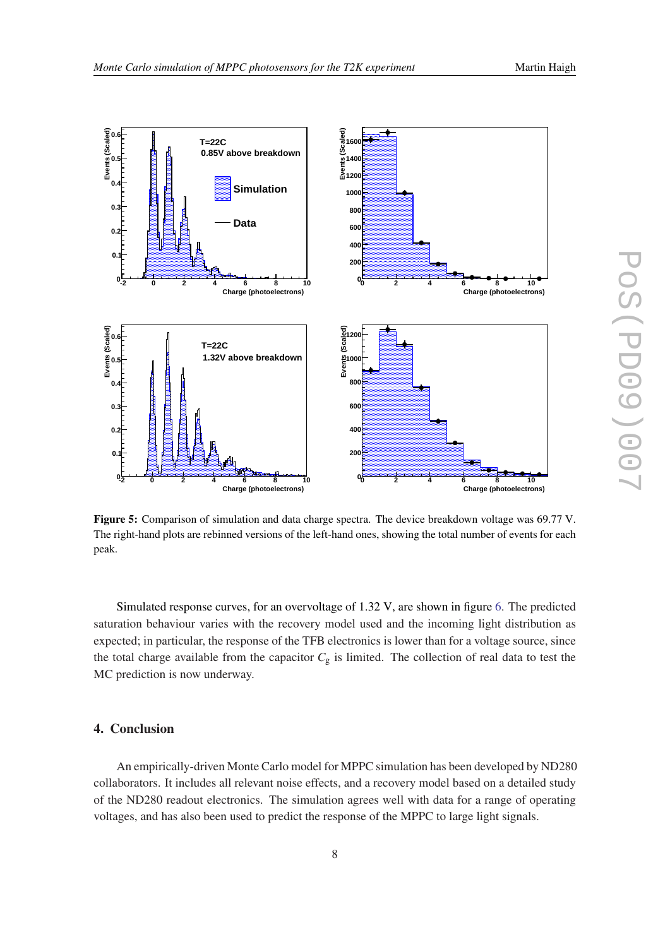<span id="page-7-0"></span>

Figure 5: Comparison of simulation and data charge spectra. The device breakdown voltage was 69.77 V. The right-hand plots are rebinned versions of the left-hand ones, showing the total number of events for each peak.

Simulated response curves, for an overvoltage of 1.32 V, are shown in figure [6.](#page-8-0) The predicted saturation behaviour varies with the recovery model used and the incoming light distribution as expected; in particular, the response of the TFB electronics is lower than for a voltage source, since the total charge available from the capacitor  $C_g$  is limited. The collection of real data to test the MC prediction is now underway.

## 4. Conclusion

An empirically-driven Monte Carlo model for MPPC simulation has been developed by ND280 collaborators. It includes all relevant noise effects, and a recovery model based on a detailed study of the ND280 readout electronics. The simulation agrees well with data for a range of operating voltages, and has also been used to predict the response of the MPPC to large light signals.